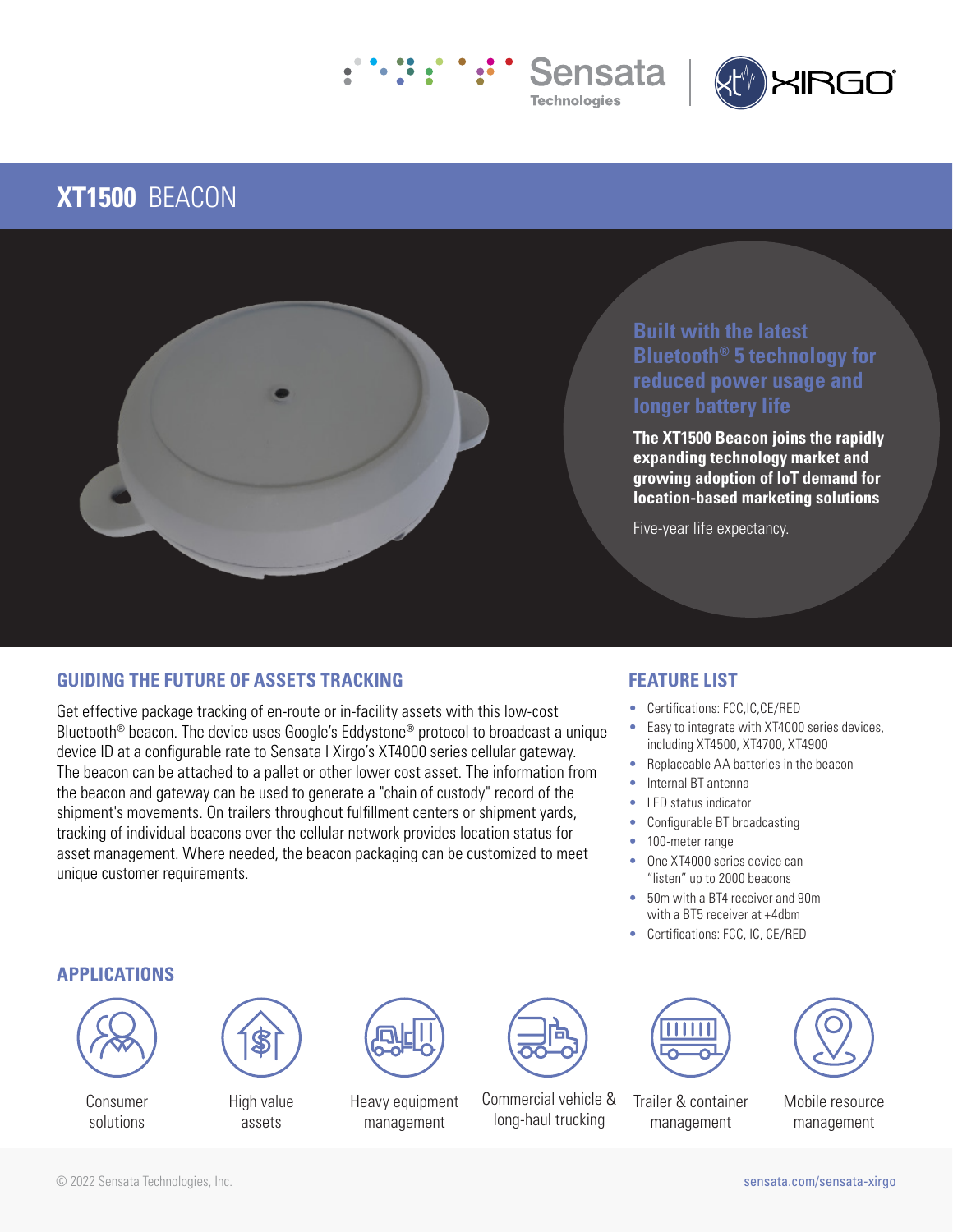



# **XT1500** BEACON



# **Built with the latest Bluetooth® 5 technology for reduced power usage and longer battery life**

**The XT1500 Beacon joins the rapidly expanding technology market and growing adoption of IoT demand for location-based marketing solutions**

Five-year life expectancy.

# **GUIDING THE FUTURE OF ASSETS TRACKING**

Get effective package tracking of en-route or in-facility assets with this low-cost Bluetooth<sup>®</sup> beacon. The device uses Google's Eddystone<sup>®</sup> protocol to broadcast a unique device ID at a configurable rate to Sensata I Xirgo's XT4000 series cellular gateway. The beacon can be attached to a pallet or other lower cost asset. The information from the beacon and gateway can be used to generate a "chain of custody" record of the shipment's movements. On trailers throughout fulfillment centers or shipment yards, tracking of individual beacons over the cellular network provides location status for asset management. Where needed, the beacon packaging can be customized to meet unique customer requirements.

# **FEATURE LIST**

- Certifications: FCC,IC,CE/RED
- Easy to integrate with XT4000 series devices, including XT4500, XT4700, XT4900
- Replaceable AA batteries in the beacon
- Internal BT antenna
- LED status indicator
- Configurable BT broadcasting
- 100-meter range
- One XT4000 series device can "listen" up to 2000 beacons
- 50m with a BT4 receiver and 90m with a BT5 receiver at +4dbm
- Certifications: FCC, IC, CE/RED

### **APPLICATIONS**



Consumer solutions



High value assets



Heavy equipment management



Commercial vehicle & long-haul trucking



Trailer & container management

Mobile resource management